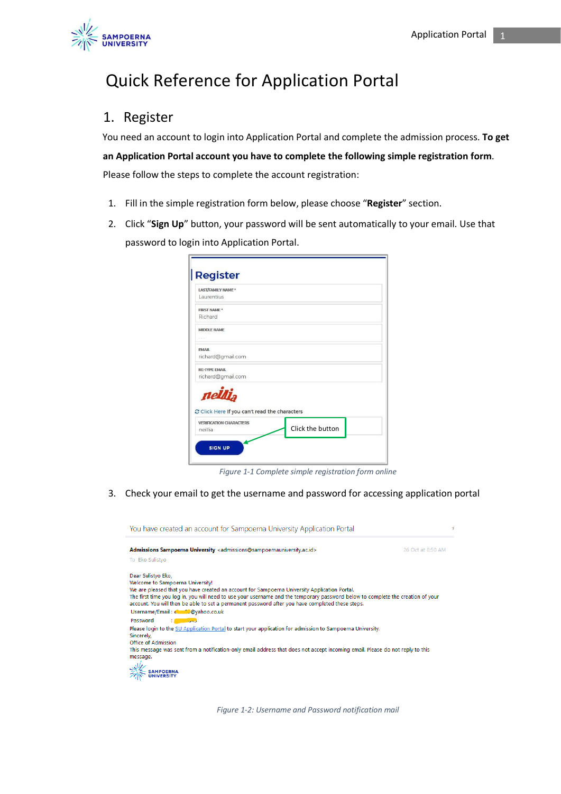

# Quick Reference for Application Portal

## 1. Register

You need an account to login into Application Portal and complete the admission process. **To get an Application Portal account you have to complete the following simple registration form**. Please follow the steps to complete the account registration:

- 1. Fill in the simple registration form below, please choose "**Register**" section.
- 2. Click "**Sign Up**" button, your password will be sent automatically to your email. Use that password to login into Application Portal.

| LAST/FAMILY NAME*                                        |                  |  |
|----------------------------------------------------------|------------------|--|
| Laurentius                                               |                  |  |
| <b>FIRST NAME*</b>                                       |                  |  |
| Richard                                                  |                  |  |
| <b>MIDDLE NAME</b>                                       |                  |  |
| SVE.                                                     |                  |  |
| <b>EMAIL</b>                                             |                  |  |
| richard@gmail.com                                        |                  |  |
| <b>RE-TYPE EMAIL</b>                                     |                  |  |
| richard@gmail.com                                        |                  |  |
| neillia<br>C Click Here If you can't read the characters |                  |  |
| <b>VERIFICATION CHARACTERS</b>                           |                  |  |
| neillia                                                  | Click the button |  |

*Figure 1-1 Complete simple registration form online*

3. Check your email to get the username and password for accessing application portal



*Figure 1-2: Username and Password notification mail*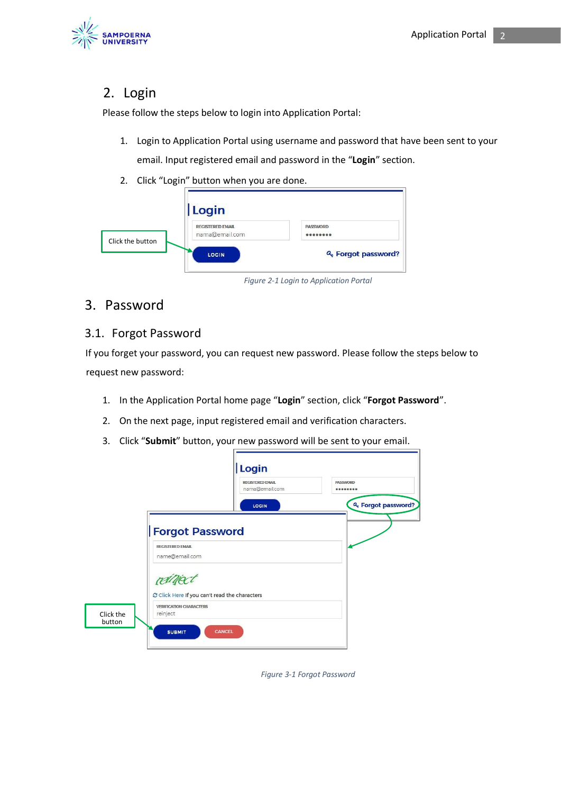

# 2. Login

Please follow the steps below to login into Application Portal:

- 1. Login to Application Portal using username and password that have been sent to your email. Input registered email and password in the "**Login**" section.
- 2. Click "Login" button when you are done.

|                  | Login                                     |                             |
|------------------|-------------------------------------------|-----------------------------|
| Click the button | <b>REGISTERED EMAIL</b><br>nama@email.com | <b>PASSWORD</b><br>00000000 |
|                  | LOGIN                                     | & Forgot password?          |

*Figure 2-1 Login to Application Portal*

# 3. Password

#### 3.1. Forgot Password

If you forget your password, you can request new password. Please follow the steps below to request new password:

- 1. In the Application Portal home page "**Login**" section, click "**Forgot Password**".
- 2. On the next page, input registered email and verification characters.
- 3. Click "**Submit**" button, your new password will be sent to your email.

|                     | Login                                                                           | <b>REGISTERED EMAIL</b> | <b>PASSWORD</b>                 |
|---------------------|---------------------------------------------------------------------------------|-------------------------|---------------------------------|
|                     |                                                                                 | nama@email.com<br>LOGIN | 000000000<br>& Forgot password? |
|                     | <b>Forgot Password</b><br><b>REGISTERED EMAIL</b>                               |                         |                                 |
|                     | name@email.com                                                                  |                         |                                 |
|                     | C Click Here If you can't read the characters<br><b>VERIFICATION CHARACTERS</b> |                         |                                 |
| Click the<br>button | reinject<br><b>CANCEL</b><br><b>SUBMIT</b>                                      |                         |                                 |

*Figure 3-1 Forgot Password*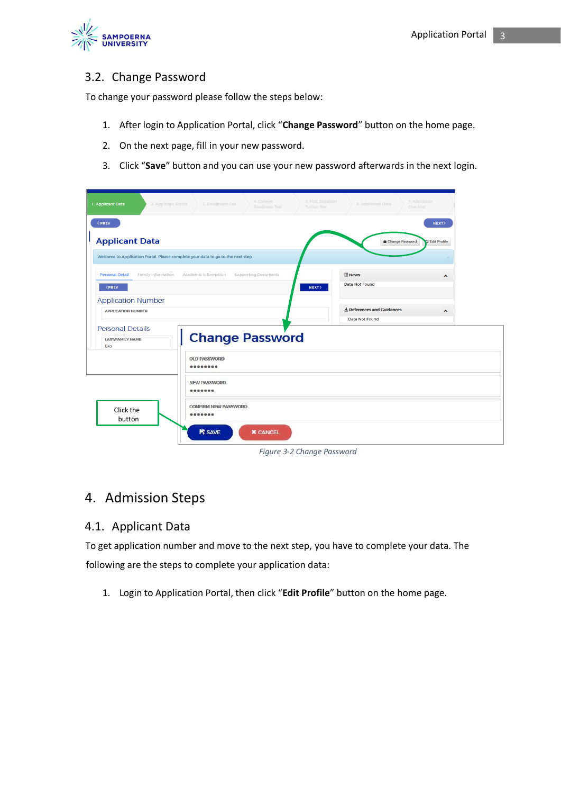

#### 3.2. Change Password

To change your password please follow the steps below:

- 1. After login to Application Portal, click "**Change Password**" button on the home page.
- 2. On the next page, fill in your new password.
- 3. Click "**Save**" button and you can use your new password afterwards in the next login.

| 4. College<br>1. Applicant Data<br>2. Applicant Status<br>3. Enrollment Fee<br><b>Readiness Test</b>                                                                                                                                                    | 7. Admission<br>5. First Semester<br>6. Additional Data<br>Checklist<br><b>Tuition Fee</b> |  |
|---------------------------------------------------------------------------------------------------------------------------------------------------------------------------------------------------------------------------------------------------------|--------------------------------------------------------------------------------------------|--|
| < PREV<br><b>Applicant Data</b>                                                                                                                                                                                                                         | NEXT><br>Change Password<br><b>S</b> Edit Profile                                          |  |
| Welcome to Application Portal. Please complete your data to go to the next step.                                                                                                                                                                        |                                                                                            |  |
| <b>Personal Detail</b><br><b>Family Information</b><br>Academic Information<br><b>Supporting Documents</b><br><prev< th=""><th><b>News</b><br/><math display="inline">\hat{\phantom{a}}</math><br/><b>Data Not Found</b><br/>NEXT</th><th></th></prev<> | <b>News</b><br>$\hat{\phantom{a}}$<br><b>Data Not Found</b><br>NEXT                        |  |
| <b>Application Number</b><br><b>APPLICATION NUMBER</b>                                                                                                                                                                                                  | $\pm$ References and Guidances<br>$\blacktriangle$<br><b>Data Not Found</b>                |  |
| <b>Personal Details</b><br><b>Change Password</b><br><b>LAST/FAMILY NAME</b><br>Eko                                                                                                                                                                     |                                                                                            |  |
| <b>OLD PASSWORD</b><br>                                                                                                                                                                                                                                 |                                                                                            |  |
| <b>NEW PASSWORD</b>                                                                                                                                                                                                                                     |                                                                                            |  |
| <b>CONFIRM NEW PASSWORD</b><br>Click the<br>0000000<br>button                                                                                                                                                                                           |                                                                                            |  |
| <b>N</b> SAVE<br><b>X</b> CANCEL                                                                                                                                                                                                                        |                                                                                            |  |

*Figure 3-2 Change Password*

## 4. Admission Steps

#### 4.1. Applicant Data

To get application number and move to the next step, you have to complete your data. The following are the steps to complete your application data:

1. Login to Application Portal, then click "**Edit Profile**" button on the home page.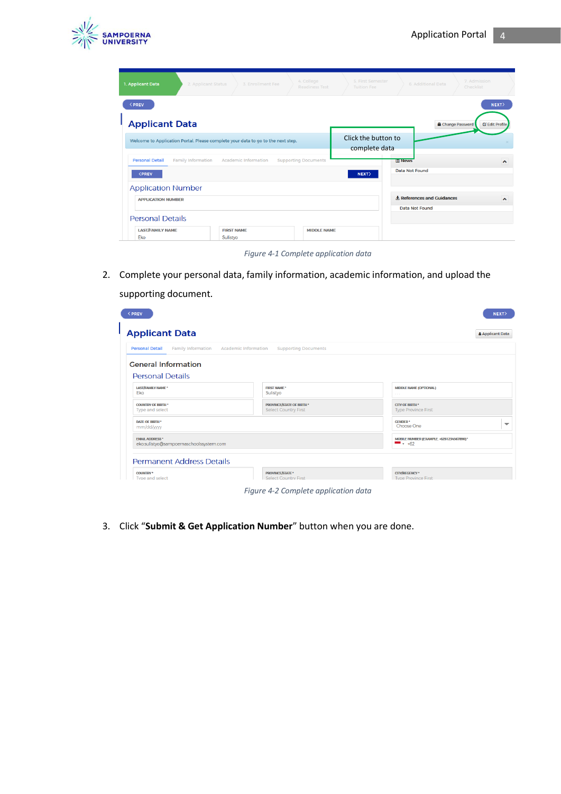

| 1. Applicant Data                                                                  | 2. Applicant Status<br>3. Enrollment Fee                                         | 4. College<br><b>Readiness Test</b> | 5. First Semester<br><b>Tuition Fee</b> | 6. Additional Data                     | 7. Admission<br>Checklist                          |
|------------------------------------------------------------------------------------|----------------------------------------------------------------------------------|-------------------------------------|-----------------------------------------|----------------------------------------|----------------------------------------------------|
| <prev<br><b>Applicant Data</b></prev<br>                                           |                                                                                  |                                     |                                         |                                        | NEXT><br>Change Password<br><b>Ex Edit Profile</b> |
|                                                                                    | Welcome to Application Portal. Please complete your data to go to the next step. |                                     | Click the button to<br>complete data    |                                        |                                                    |
| <b>Family Information</b><br><b>Personal Detail</b><br><b><prev< b=""></prev<></b> | Academic Information                                                             | <b>Supporting Documents</b>         | NEXT                                    | <b>E News</b><br><b>Data Not Found</b> | ㅅ                                                  |
| <b>Application Number</b>                                                          |                                                                                  |                                     |                                         | $\bigstar$ References and Guidances    | ㅅ                                                  |
| <b>APPLICATION NUMBER</b><br><b>Personal Details</b>                               |                                                                                  |                                     |                                         | Data Not Found                         |                                                    |
| <b>LAST/FAMILY NAME</b><br>Eko                                                     | <b>FIRST NAME</b><br>Sulistyo                                                    | <b>MIDDLE NAME</b>                  |                                         |                                        |                                                    |

*Figure 4-1 Complete application data*

2. Complete your personal data, family information, academic information, and upload the supporting document.

| <b>Applicant Data</b>                                             |                             |                                                                 |                                                       | <b>Applicant Data</b> |
|-------------------------------------------------------------------|-----------------------------|-----------------------------------------------------------------|-------------------------------------------------------|-----------------------|
| <b>Family Information</b><br><b>Personal Detail</b>               | <b>Academic Information</b> | <b>Supporting Documents</b>                                     |                                                       |                       |
| <b>General Information</b>                                        |                             |                                                                 |                                                       |                       |
| <b>Personal Details</b><br>LAST/FAMILY NAME*<br>Eko               |                             | <b>FIRST NAME*</b><br>Sulistyo                                  | <b>MIDDLE NAME (OPTIONAL)</b><br>$\sim$ $\sim$ $\sim$ |                       |
| <b>COUNTRY OF BIRTH *</b><br>Type and select                      |                             | <b>PROVINCE/STATE OF BIRTH *</b><br><b>Select Country First</b> | <b>CITY OF BIRTH</b> *<br><b>Type Province First</b>  |                       |
| DATE OF BIRTH *<br>mm/dd/yyyy                                     |                             |                                                                 | <b>GENDER*</b><br>Choose One                          |                       |
| <b>EMAIL ADDRESS *</b><br>eko.sulistyo@sampoernaschoolssystem.com |                             |                                                                 | MOBILE NUMBER (EXAMPLE. +6281234567890)*<br>$-$ +62   |                       |
| <b>Permanent Address Details</b>                                  |                             |                                                                 |                                                       |                       |
| <b>COUNTRY</b> *                                                  |                             | <b>PROVINCE/STATE</b> *<br><b>Select Country First</b>          | <b>CITY/REGENCY*</b><br><b>Type Province First</b>    |                       |

3. Click "**Submit & Get Application Number**" button when you are done.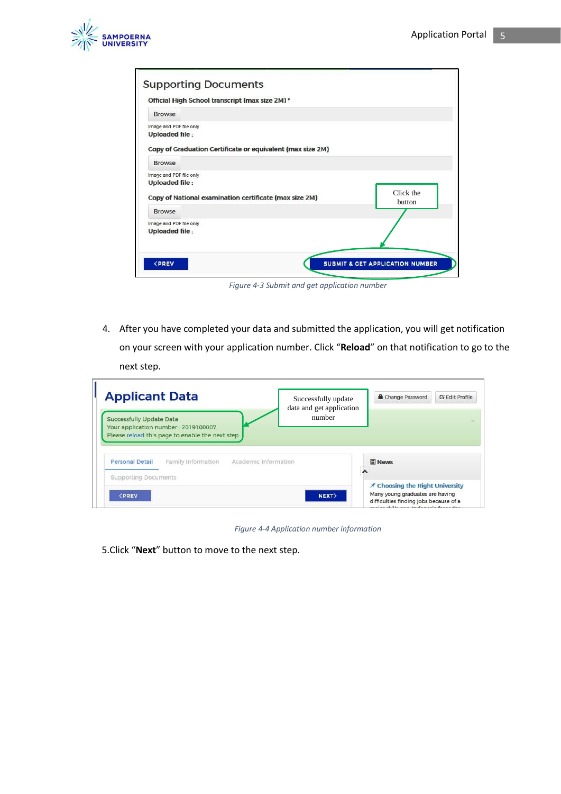

| <b>Supporting Documents</b>                                              |                                            |
|--------------------------------------------------------------------------|--------------------------------------------|
| Official High School transcript (max size 2M)*                           |                                            |
| <b>Browse</b>                                                            |                                            |
| Image and PDF file only<br><b>Uploaded file:</b>                         |                                            |
| Copy of Graduation Certificate or equivalent (max size 2M)               |                                            |
| <b>Browse</b>                                                            |                                            |
| Image and PDF file only<br><b>Uploaded file:</b>                         |                                            |
| Copy of National examination certificate (max size 2M)                   | Click the<br>button                        |
| <b>Browse</b>                                                            |                                            |
| Image and PDF file only<br><b>Uploaded file:</b>                         |                                            |
| <prev< td=""><td><b>SUBMIT &amp; CET APPLICATION NUMBER</b></td></prev<> | <b>SUBMIT &amp; CET APPLICATION NUMBER</b> |

*Figure 4-3 Submit and get application number*

4. After you have completed your data and submitted the application, you will get notification on your screen with your application number. Click "**Reload**" on that notification to go to the next step.

| <b>Applicant Data</b>                                                                                                     | Successfully update<br>data and get application | Change Password | <b>Z</b> Edit Profile |
|---------------------------------------------------------------------------------------------------------------------------|-------------------------------------------------|-----------------|-----------------------|
| <b>Successfully Update Data</b><br>Your application number: 2019100007<br>Please reload this page to enable the next step | number                                          |                 |                       |
|                                                                                                                           |                                                 |                 |                       |
| <b>Personal Detail</b><br>Family Information<br>Academic Information<br><b>Supporting Documents</b>                       |                                                 | <b>News</b>     |                       |

*Figure 4-4 Application number information*

5.Click "**Next**" button to move to the next step.